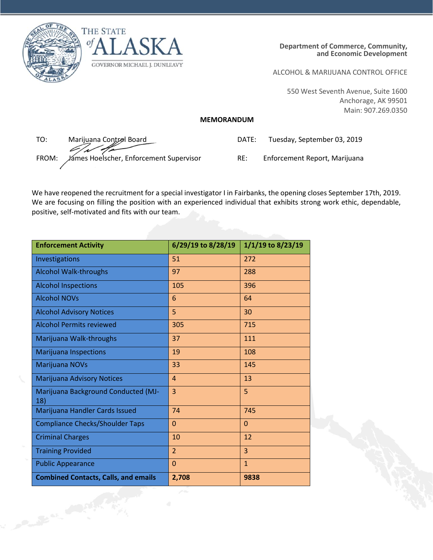

Contract of Cash



ALCOHOL & MARIJUANA CONTROL OFFICE

550 West Seventh Avenue, Suite 1600 Anchorage, AK 99501 Main: 907.269.0350

## **MEMORANDUM**

TO: Marijuana Control Board FROM: James Hoelscher, Enforcement Supervisor RE: Enforcement Report, Marijuana

| DATE: | Tuesday, September 03, 2019 |
|-------|-----------------------------|
|-------|-----------------------------|

We have reopened the recruitment for a special investigator I in Fairbanks, the opening closes September 17th, 2019. We are focusing on filling the position with an experienced individual that exhibits strong work ethic, dependable, positive, self-motivated and fits with our team.

| <b>Enforcement Activity</b>                 | 6/29/19 to 8/28/19 | 1/1/19 to 8/23/19 |
|---------------------------------------------|--------------------|-------------------|
| Investigations                              | 51                 | 272               |
| <b>Alcohol Walk-throughs</b>                | 97                 | 288               |
| <b>Alcohol Inspections</b>                  | 105                | 396               |
| <b>Alcohol NOVs</b>                         | 6                  | 64                |
| <b>Alcohol Advisory Notices</b>             | 5                  | 30                |
| <b>Alcohol Permits reviewed</b>             | 305                | 715               |
| Marijuana Walk-throughs                     | 37                 | 111               |
| <b>Marijuana Inspections</b>                | 19                 | 108               |
| Marijuana NOVs                              | 33                 | 145               |
| Marijuana Advisory Notices                  | $\overline{4}$     | 13                |
| Marijuana Background Conducted (MJ-<br>18)  | 3                  | 5                 |
| Marijuana Handler Cards Issued              | 74                 | 745               |
| <b>Compliance Checks/Shoulder Taps</b>      | $\mathbf{0}$       | $\Omega$          |
| <b>Criminal Charges</b>                     | 10                 | 12                |
| <b>Training Provided</b>                    | $\overline{2}$     | 3                 |
| <b>Public Appearance</b>                    | $\mathbf{0}$       | $\overline{1}$    |
| <b>Combined Contacts, Calls, and emails</b> | 2,708              | 9838              |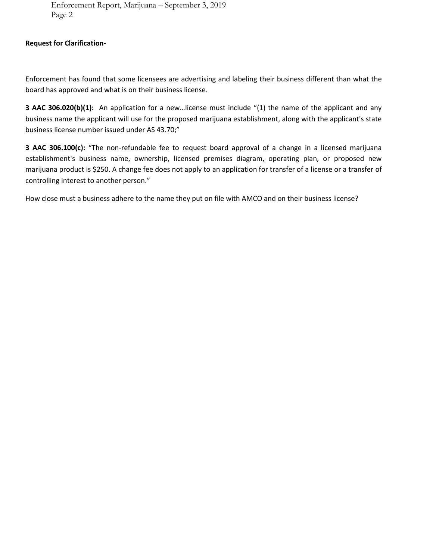Enforcement Report, Marijuana – September 3, 2019 Page 2

## **Request for Clarification-**

Enforcement has found that some licensees are advertising and labeling their business different than what the board has approved and what is on their business license.

**3 AAC 306.020(b)(1):** An application for a new…license must include "(1) the name of the applicant and any business name the applicant will use for the proposed marijuana establishment, along with the applicant's state business license number issued under AS 43.70;"

**3 AAC 306.100(c):** "The non-refundable fee to request board approval of a change in a licensed marijuana establishment's business name, ownership, licensed premises diagram, operating plan, or proposed new marijuana product is \$250. A change fee does not apply to an application for transfer of a license or a transfer of controlling interest to another person."

How close must a business adhere to the name they put on file with AMCO and on their business license?